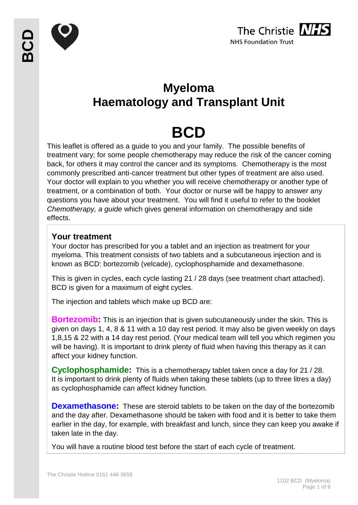



## **Myeloma Haematology and Transplant Unit**

# **BCD**

This leaflet is offered as a guide to you and your family. The possible benefits of treatment vary; for some people chemotherapy may reduce the risk of the cancer coming back, for others it may control the cancer and its symptoms. Chemotherapy is the most commonly prescribed anti-cancer treatment but other types of treatment are also used. Your doctor will explain to you whether you will receive chemotherapy or another type of treatment, or a combination of both. Your doctor or nurse will be happy to answer any questions you have about your treatment. You will find it useful to refer to the booklet *Chemotherapy, a guide* which gives general information on chemotherapy and side effects.

## **Your treatment**

Your doctor has prescribed for you a tablet and an injection as treatment for your myeloma. This treatment consists of two tablets and a subcutaneous injection and is known as BCD: bortezomib (velcade), cyclophosphamide and dexamethasone.

This is given in cycles, each cycle lasting 21 / 28 days (see treatment chart attached). BCD is given for a maximum of eight cycles.

The injection and tablets which make up BCD are:

**Bortezomib:** This is an injection that is given subcutaneously under the skin. This is given on days 1, 4, 8 & 11 with a 10 day rest period. It may also be given weekly on days 1,8,15 & 22 with a 14 day rest period. (Your medical team will tell you which regimen you will be having). It is important to drink plenty of fluid when having this therapy as it can affect your kidney function.

**Cyclophosphamide:** This is a chemotherapy tablet taken once a day for 21 / 28. It is important to drink plenty of fluids when taking these tablets (up to three litres a day) as cyclophosphamide can affect kidney function.

**Dexamethasone:** These are steroid tablets to be taken on the day of the bortezomib and the day after. Dexamethasone should be taken with food and it is better to take them earlier in the day, for example, with breakfast and lunch, since they can keep you awake if taken late in the day.

You will have a routine blood test before the start of each cycle of treatment.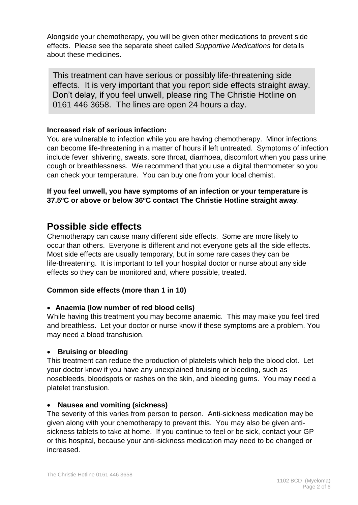Alongside your chemotherapy, you will be given other medications to prevent side effects. Please see the separate sheet called *Supportive Medications* for details about these medicines.

This treatment can have serious or possibly life-threatening side effects. It is very important that you report side effects straight away. Don't delay, if you feel unwell, please ring The Christie Hotline on 0161 446 3658. The lines are open 24 hours a day.

#### **Increased risk of serious infection:**

You are vulnerable to infection while you are having chemotherapy. Minor infections can become life-threatening in a matter of hours if left untreated. Symptoms of infection include fever, shivering, sweats, sore throat, diarrhoea, discomfort when you pass urine, cough or breathlessness. We recommend that you use a digital thermometer so you can check your temperature. You can buy one from your local chemist.

**If you feel unwell, you have symptoms of an infection or your temperature is 37.5ºC or above or below 36ºC contact The Christie Hotline straight away**.

## **Possible side effects**

Chemotherapy can cause many different side effects. Some are more likely to occur than others. Everyone is different and not everyone gets all the side effects. Most side effects are usually temporary, but in some rare cases they can be life-threatening. It is important to tell your hospital doctor or nurse about any side effects so they can be monitored and, where possible, treated.

#### **Common side effects (more than 1 in 10)**

#### **Anaemia (low number of red blood cells)**

While having this treatment you may become anaemic. This may make you feel tired and breathless. Let your doctor or nurse know if these symptoms are a problem. You may need a blood transfusion.

#### **Bruising or bleeding**

This treatment can reduce the production of platelets which help the blood clot. Let your doctor know if you have any unexplained bruising or bleeding, such as nosebleeds, bloodspots or rashes on the skin, and bleeding gums. You may need a platelet transfusion.

#### **Nausea and vomiting (sickness)**

The severity of this varies from person to person. Anti-sickness medication may be given along with your chemotherapy to prevent this. You may also be given antisickness tablets to take at home. If you continue to feel or be sick, contact your GP or this hospital, because your anti-sickness medication may need to be changed or increased.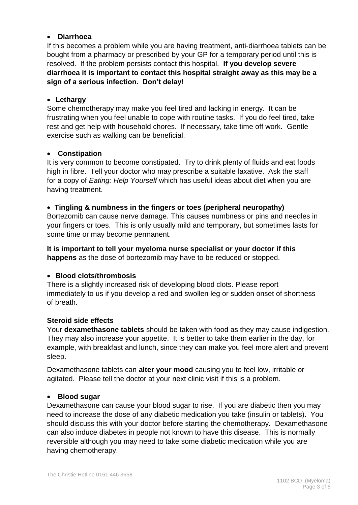#### **Diarrhoea**

If this becomes a problem while you are having treatment, anti-diarrhoea tablets can be bought from a pharmacy or prescribed by your GP for a temporary period until this is resolved. If the problem persists contact this hospital. **If you develop severe diarrhoea it is important to contact this hospital straight away as this may be a sign of a serious infection. Don't delay!**

#### **Lethargy**

Some chemotherapy may make you feel tired and lacking in energy. It can be frustrating when you feel unable to cope with routine tasks. If you do feel tired, take rest and get help with household chores. If necessary, take time off work. Gentle exercise such as walking can be beneficial.

#### **Constipation**

It is very common to become constipated. Try to drink plenty of fluids and eat foods high in fibre. Tell your doctor who may prescribe a suitable laxative. Ask the staff for a copy of *Eating: Help Yourself* which has useful ideas about diet when you are having treatment.

#### **Tingling & numbness in the fingers or toes (peripheral neuropathy)**

Bortezomib can cause nerve damage. This causes numbness or pins and needles in your fingers or toes. This is only usually mild and temporary, but sometimes lasts for some time or may become permanent.

**It is important to tell your myeloma nurse specialist or your doctor if this happens** as the dose of bortezomib may have to be reduced or stopped.

#### **Blood clots/thrombosis**

There is a slightly increased risk of developing blood clots. Please report immediately to us if you develop a red and swollen leg or sudden onset of shortness of breath.

#### **Steroid side effects**

Your **dexamethasone tablets** should be taken with food as they may cause indigestion. They may also increase your appetite. It is better to take them earlier in the day, for example, with breakfast and lunch, since they can make you feel more alert and prevent sleep.

Dexamethasone tablets can **alter your mood** causing you to feel low, irritable or agitated. Please tell the doctor at your next clinic visit if this is a problem.

#### **Blood sugar**

Dexamethasone can cause your blood sugar to rise. If you are diabetic then you may need to increase the dose of any diabetic medication you take (insulin or tablets). You should discuss this with your doctor before starting the chemotherapy. Dexamethasone can also induce diabetes in people not known to have this disease. This is normally reversible although you may need to take some diabetic medication while you are having chemotherapy.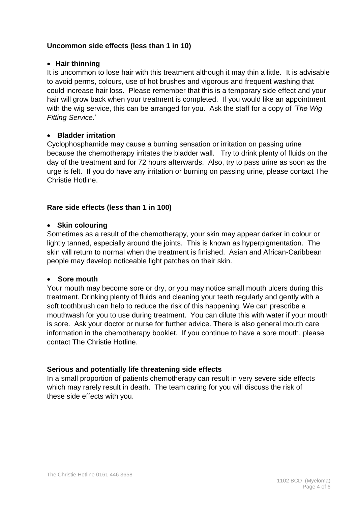#### **Uncommon side effects (less than 1 in 10)**

#### **Hair thinning**

It is uncommon to lose hair with this treatment although it may thin a little. It is advisable to avoid perms, colours, use of hot brushes and vigorous and frequent washing that could increase hair loss. Please remember that this is a temporary side effect and your hair will grow back when your treatment is completed. If you would like an appointment with the wig service, this can be arranged for you. Ask the staff for a copy of *'The Wig Fitting Service.*'

#### **Bladder irritation**

Cyclophosphamide may cause a burning sensation or irritation on passing urine because the chemotherapy irritates the bladder wall. Try to drink plenty of fluids on the day of the treatment and for 72 hours afterwards. Also, try to pass urine as soon as the urge is felt. If you do have any irritation or burning on passing urine, please contact The Christie Hotline.

#### **Rare side effects (less than 1 in 100)**

#### **Skin colouring**

Sometimes as a result of the chemotherapy, your skin may appear darker in colour or lightly tanned, especially around the joints. This is known as hyperpigmentation. The skin will return to normal when the treatment is finished. Asian and African-Caribbean people may develop noticeable light patches on their skin.

#### **Sore mouth**

Your mouth may become sore or dry, or you may notice small mouth ulcers during this treatment. Drinking plenty of fluids and cleaning your teeth regularly and gently with a soft toothbrush can help to reduce the risk of this happening. We can prescribe a mouthwash for you to use during treatment. You can dilute this with water if your mouth is sore. Ask your doctor or nurse for further advice. There is also general mouth care information in the chemotherapy booklet. If you continue to have a sore mouth, please contact The Christie Hotline.

#### **Serious and potentially life threatening side effects**

In a small proportion of patients chemotherapy can result in very severe side effects which may rarely result in death. The team caring for you will discuss the risk of these side effects with you.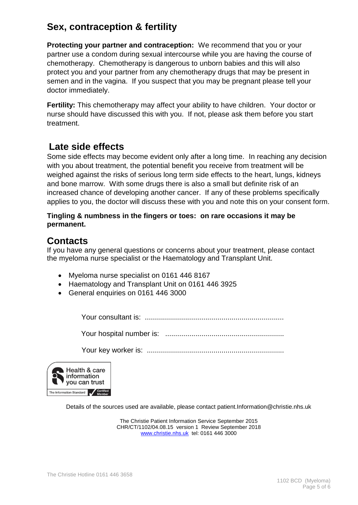## **Sex, contraception & fertility**

**Protecting your partner and contraception:** We recommend that you or your partner use a condom during sexual intercourse while you are having the course of chemotherapy. Chemotherapy is dangerous to unborn babies and this will also protect you and your partner from any chemotherapy drugs that may be present in semen and in the vagina. If you suspect that you may be pregnant please tell your doctor immediately.

**Fertility:** This chemotherapy may affect your ability to have children. Your doctor or nurse should have discussed this with you. If not, please ask them before you start treatment.

## **Late side effects**

Some side effects may become evident only after a long time. In reaching any decision with you about treatment, the potential benefit you receive from treatment will be weighed against the risks of serious long term side effects to the heart, lungs, kidneys and bone marrow. With some drugs there is also a small but definite risk of an increased chance of developing another cancer. If any of these problems specifically applies to you, the doctor will discuss these with you and note this on your consent form.

#### **Tingling & numbness in the fingers or toes: on rare occasions it may be permanent.**

## **Contacts**

If you have any general questions or concerns about your treatment, please contact the myeloma nurse specialist or the Haematology and Transplant Unit.

- Myeloma nurse specialist on 0161 446 8167
- Haematology and Transplant Unit on 0161 446 3925
- General enquiries on 0161 446 3000

Your consultant is: .....................................................................

Your hospital number is: ...........................................................

Your key worker is: ....................................................................



Details of the sources used are available, please contact patient.Information@christie.nhs.uk

The Christie Patient Information Service September 2015 CHR/CT/1102/04.08.15 version 1 Review September 2018 [www.christie.nhs.uk](http://www.christie.nhs.uk/) tel: 0161 446 3000